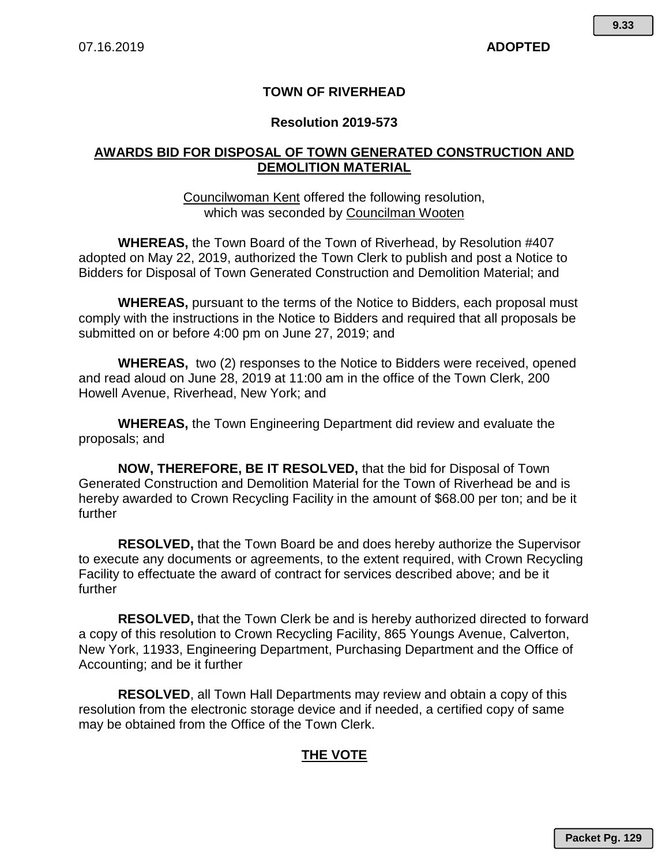## **TOWN OF RIVERHEAD**

#### **Resolution 2019-573**

### **AWARDS BID FOR DISPOSAL OF TOWN GENERATED CONSTRUCTION AND DEMOLITION MATERIAL**

#### Councilwoman Kent offered the following resolution, which was seconded by Councilman Wooten

**WHEREAS,** the Town Board of the Town of Riverhead, by Resolution #407 adopted on May 22, 2019, authorized the Town Clerk to publish and post a Notice to Bidders for Disposal of Town Generated Construction and Demolition Material; and

**WHEREAS,** pursuant to the terms of the Notice to Bidders, each proposal must comply with the instructions in the Notice to Bidders and required that all proposals be submitted on or before 4:00 pm on June 27, 2019; and

**WHEREAS,** two (2) responses to the Notice to Bidders were received, opened and read aloud on June 28, 2019 at 11:00 am in the office of the Town Clerk, 200 Howell Avenue, Riverhead, New York; and

**WHEREAS,** the Town Engineering Department did review and evaluate the proposals; and

**NOW, THEREFORE, BE IT RESOLVED,** that the bid for Disposal of Town Generated Construction and Demolition Material for the Town of Riverhead be and is hereby awarded to Crown Recycling Facility in the amount of \$68.00 per ton; and be it further

**RESOLVED,** that the Town Board be and does hereby authorize the Supervisor to execute any documents or agreements, to the extent required, with Crown Recycling Facility to effectuate the award of contract for services described above; and be it further

**RESOLVED,** that the Town Clerk be and is hereby authorized directed to forward a copy of this resolution to Crown Recycling Facility, 865 Youngs Avenue, Calverton, New York, 11933, Engineering Department, Purchasing Department and the Office of Accounting; and be it further

**RESOLVED**, all Town Hall Departments may review and obtain a copy of this resolution from the electronic storage device and if needed, a certified copy of same may be obtained from the Office of the Town Clerk.

# **THE VOTE**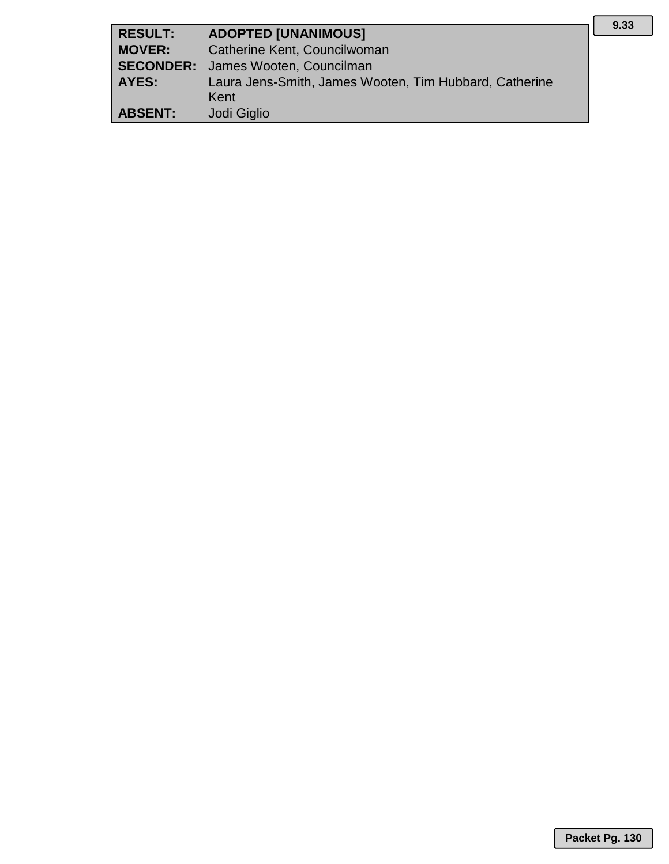| <b>RESULT:</b> | <b>ADOPTED [UNANIMOUS]</b>                             |
|----------------|--------------------------------------------------------|
| <b>MOVER:</b>  | Catherine Kent, Councilwoman                           |
|                | <b>SECONDER:</b> James Wooten, Councilman              |
| AYES:          | Laura Jens-Smith, James Wooten, Tim Hubbard, Catherine |
|                | Kent                                                   |
| <b>ABSENT:</b> | Jodi Giglio                                            |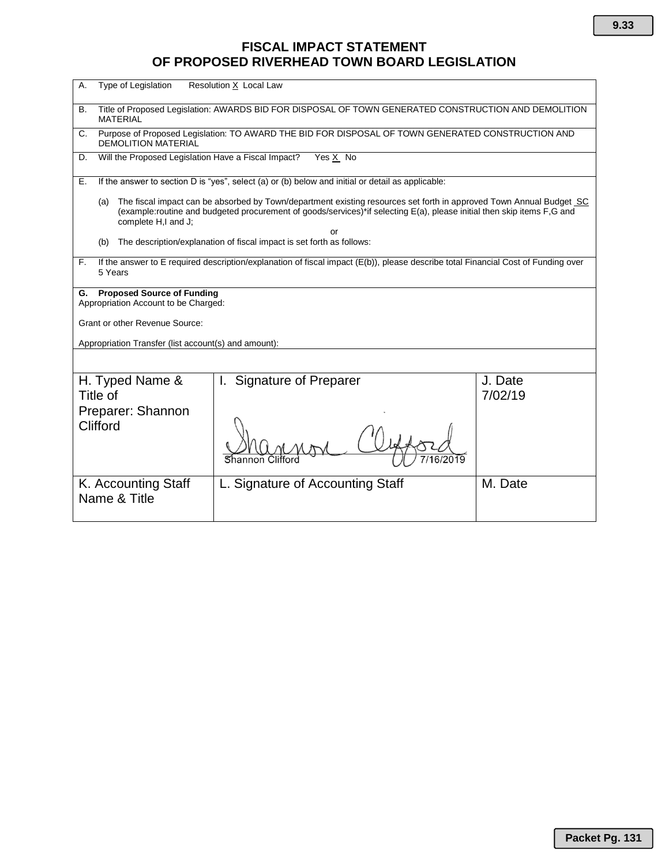# **FISCAL IMPACT STATEMENT OF PROPOSED RIVERHEAD TOWN BOARD LEGISLATION**

| Type of Legislation<br>Α.                                                                                                                                                                                                                                                                                                                                         | Resolution X Local Law           |                    |  |  |  |
|-------------------------------------------------------------------------------------------------------------------------------------------------------------------------------------------------------------------------------------------------------------------------------------------------------------------------------------------------------------------|----------------------------------|--------------------|--|--|--|
| Title of Proposed Legislation: AWARDS BID FOR DISPOSAL OF TOWN GENERATED CONSTRUCTION AND DEMOLITION<br>В.<br><b>MATERIAL</b>                                                                                                                                                                                                                                     |                                  |                    |  |  |  |
| Purpose of Proposed Legislation: TO AWARD THE BID FOR DISPOSAL OF TOWN GENERATED CONSTRUCTION AND<br>C.<br><b>DEMOLITION MATERIAL</b>                                                                                                                                                                                                                             |                                  |                    |  |  |  |
| Will the Proposed Legislation Have a Fiscal Impact?<br>Yes X No<br>D.                                                                                                                                                                                                                                                                                             |                                  |                    |  |  |  |
| If the answer to section D is "yes", select (a) or (b) below and initial or detail as applicable:<br>Е.                                                                                                                                                                                                                                                           |                                  |                    |  |  |  |
| The fiscal impact can be absorbed by Town/department existing resources set forth in approved Town Annual Budget SC<br>(a)<br>(example:routine and budgeted procurement of goods/services)*if selecting E(a), please initial then skip items F,G and<br>complete H,I and J;<br>or<br>The description/explanation of fiscal impact is set forth as follows:<br>(b) |                                  |                    |  |  |  |
|                                                                                                                                                                                                                                                                                                                                                                   |                                  |                    |  |  |  |
| If the answer to E required description/explanation of fiscal impact (E(b)), please describe total Financial Cost of Funding over<br>F.<br>5 Years                                                                                                                                                                                                                |                                  |                    |  |  |  |
| <b>Proposed Source of Funding</b><br>G.<br>Appropriation Account to be Charged:                                                                                                                                                                                                                                                                                   |                                  |                    |  |  |  |
| Grant or other Revenue Source:                                                                                                                                                                                                                                                                                                                                    |                                  |                    |  |  |  |
| Appropriation Transfer (list account(s) and amount):                                                                                                                                                                                                                                                                                                              |                                  |                    |  |  |  |
|                                                                                                                                                                                                                                                                                                                                                                   |                                  |                    |  |  |  |
| H. Typed Name &<br>Title of                                                                                                                                                                                                                                                                                                                                       | <b>Signature of Preparer</b>     | J. Date<br>7/02/19 |  |  |  |
| Preparer: Shannon<br>Clifford                                                                                                                                                                                                                                                                                                                                     |                                  |                    |  |  |  |
| K. Accounting Staff<br>Name & Title                                                                                                                                                                                                                                                                                                                               | L. Signature of Accounting Staff | M. Date            |  |  |  |